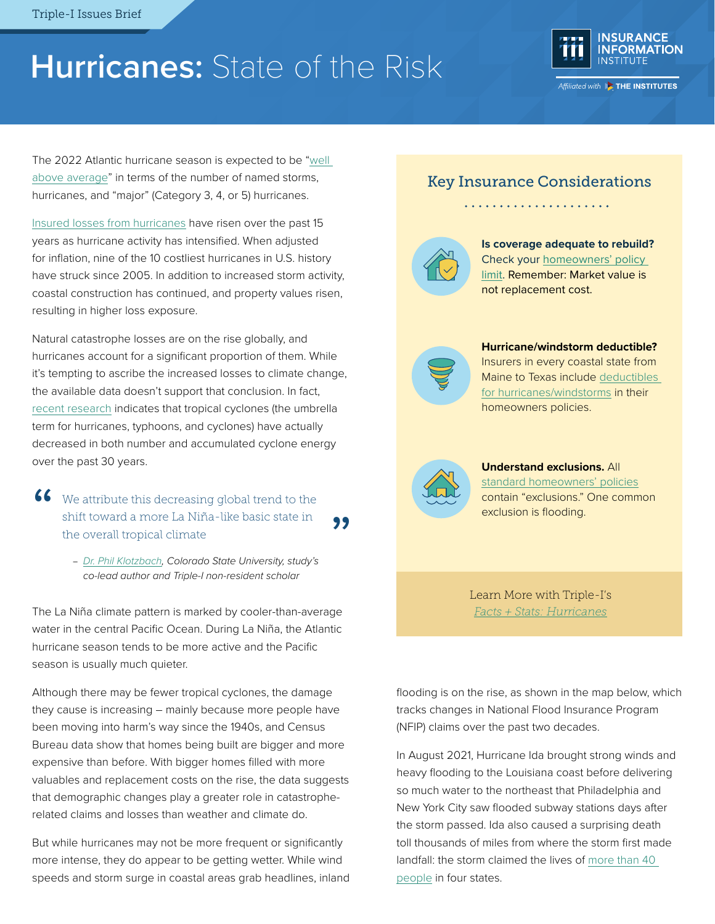# **Hurricanes:** State of the Risk



The 2022 Atlantic hurricane season is expected to be "well [above average"](https://resilience.iii.org/resilience-blog/hurricanes/csu-forecast-for-2022-atlantic-hurricane-season-is-now-well-above-average/) in terms of the number of named storms, hurricanes, and "major" (Category 3, 4, or 5) hurricanes.

[Insured losses from hurricanes](https://www.iii.org/publications/a-firm-foundation-how-insurance-supports-the-economy/supporting-resiliency-and-disaster-recovery/hurricanes) have risen over the past 15 years as hurricane activity has intensified. When adjusted for inflation, nine of the 10 costliest hurricanes in U.S. history have struck since 2005. In addition to increased storm activity, coastal construction has continued, and property values risen, resulting in higher loss exposure.

Natural catastrophe losses are on the rise globally, and hurricanes account for a significant proportion of them. While it's tempting to ascribe the increased losses to climate change, the available data doesn't support that conclusion. In fact, [recent research](https://agupubs.onlinelibrary.wiley.com/doi/full/10.1029/2021GL095774) indicates that tropical cyclones (the umbrella term for hurricanes, typhoons, and cyclones) have actually decreased in both number and accumulated cyclone energy over the past 30 years.

- 66 We attribute this decreasing global trend to the shift toward a more La Niña-like basic state in the overall tropical climate "
	- *[Dr. Phil Klotzbach,](https://www.iii.org/about-us/non-resident-scholars/dr-phil-klotzbach#:~:text=Phil%20Klotzbach%20is%20a%20research,seasonal%20hurricane%20forecasts%20in%202006) Colorado State University, study's co-lead author and Triple-I non-resident scholar*

The La Niña climate pattern is marked by cooler-than-average water in the central Pacific Ocean. During La Niña, the Atlantic hurricane season tends to be more active and the Pacific season is usually much quieter.

Although there may be fewer tropical cyclones, the damage they cause is increasing – mainly because more people have been moving into harm's way since the 1940s, and Census Bureau data show that homes being built are bigger and more expensive than before. With bigger homes filled with more valuables and replacement costs on the rise, the data suggests that demographic changes play a greater role in catastropherelated claims and losses than weather and climate do.

But while hurricanes may not be more frequent or significantly more intense, they do appear to be getting wetter. While wind speeds and storm surge in coastal areas grab headlines, inland

### Key Insurance Considerations



**Is coverage adequate to rebuild?** Check your [homeowners' policy](http://www.iii.org/article/what-covered-standard-homeowners-policy)  [limit](http://www.iii.org/article/what-covered-standard-homeowners-policy). Remember: Market value is not replacement cost.



**Hurricane/windstorm deductible?**  Insurers in every coastal state from

Maine to Texas include [deductibles](http://www.iii.org/article/understanding-your-insurance-deductible)  [for hurricanes/windstorms](http://www.iii.org/article/understanding-your-insurance-deductible) in their homeowners policies.



**Understand exclusions.** All [standard homeowners' policies](https://www.iii.org/article/what-covered-standard-homeowners-policy) contain "exclusions." One common exclusion is flooding.

Learn More with Triple-I's *[Facts + Stats:](https://www.iii.org/fact-statistic/facts-statistics-hurricanes) Hurricanes*

flooding is on the rise, as shown in the map below, which tracks changes in National Flood Insurance Program (NFIP) claims over the past two decades.

In August 2021, Hurricane Ida brought strong winds and heavy flooding to the Louisiana coast before delivering so much water to the northeast that Philadelphia and New York City saw flooded subway stations days after the storm passed. Ida also caused a surprising death toll thousands of miles from where the storm first made landfall: the storm claimed the lives of [more than 40](https://www.nytimes.com/live/2021/09/02/nyregion/nyc-storm#ida-new-york-flood)  [people](https://www.nytimes.com/live/2021/09/02/nyregion/nyc-storm#ida-new-york-flood) in four states.